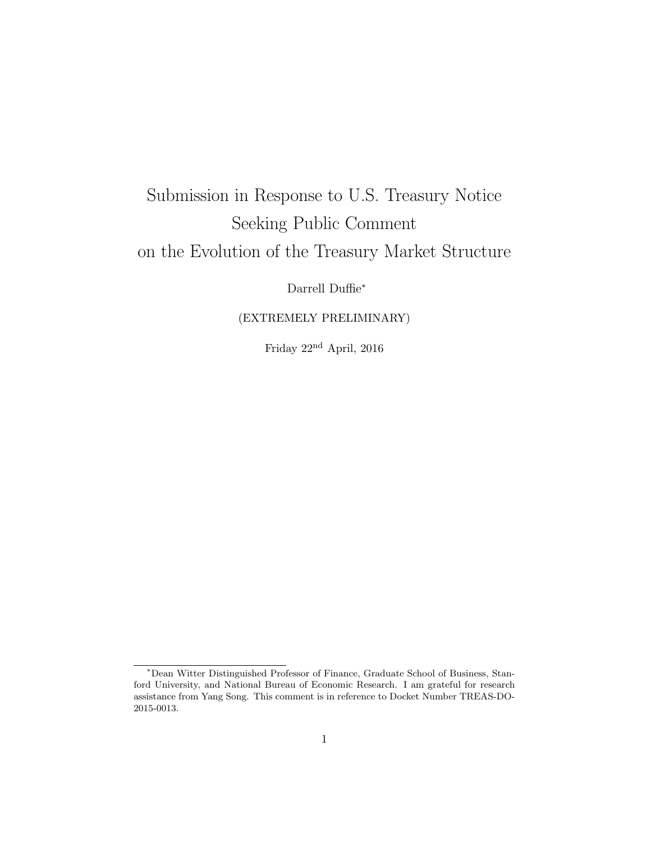## Submission in Response to U.S. Treasury Notice Seeking Public Comment on the Evolution of the Treasury Market Structure

Darrell Duffie<sup>∗</sup>

## (EXTREMELY PRELIMINARY)

Friday  $22^{\rm nd}$  April,  $2016$ 

<sup>∗</sup>Dean Witter Distinguished Professor of Finance, Graduate School of Business, Stanford University, and National Bureau of Economic Research. I am grateful for research assistance from Yang Song. This comment is in reference to Docket Number TREAS-DO-2015-0013.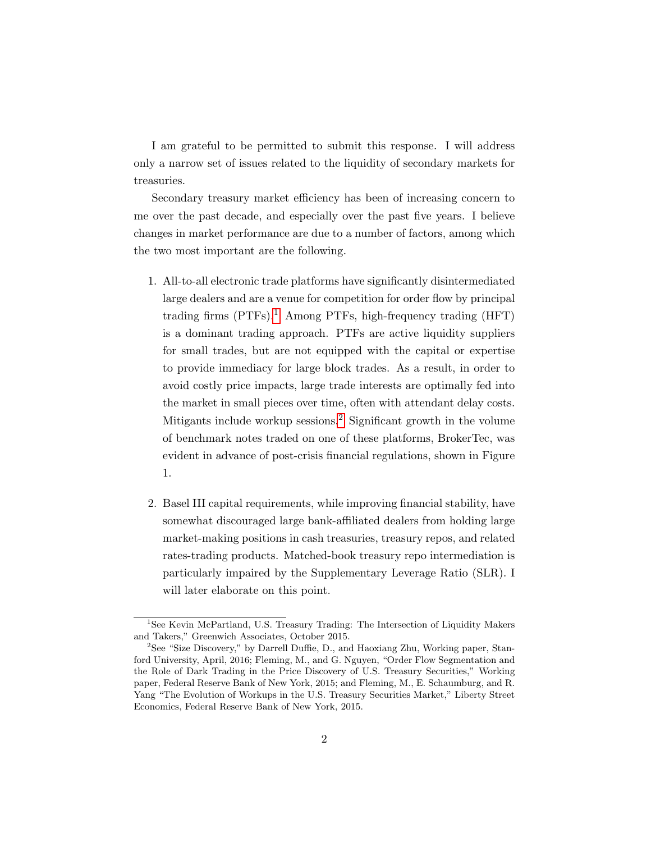I am grateful to be permitted to submit this response. I will address only a narrow set of issues related to the liquidity of secondary markets for treasuries.

Secondary treasury market efficiency has been of increasing concern to me over the past decade, and especially over the past five years. I believe changes in market performance are due to a number of factors, among which the two most important are the following.

- 1. All-to-all electronic trade platforms have significantly disintermediated large dealers and are a venue for competition for order flow by principal trading firms  $(PTFs).<sup>1</sup>$  $(PTFs).<sup>1</sup>$  $(PTFs).<sup>1</sup>$  Among PTFs, high-frequency trading  $(HFT)$ is a dominant trading approach. PTFs are active liquidity suppliers for small trades, but are not equipped with the capital or expertise to provide immediacy for large block trades. As a result, in order to avoid costly price impacts, large trade interests are optimally fed into the market in small pieces over time, often with attendant delay costs. Mitigants include workup sessions.<sup>[2](#page-1-1)</sup> Significant growth in the volume of benchmark notes traded on one of these platforms, BrokerTec, was evident in advance of post-crisis financial regulations, shown in Figure 1.
- 2. Basel III capital requirements, while improving financial stability, have somewhat discouraged large bank-affiliated dealers from holding large market-making positions in cash treasuries, treasury repos, and related rates-trading products. Matched-book treasury repo intermediation is particularly impaired by the Supplementary Leverage Ratio (SLR). I will later elaborate on this point.

<span id="page-1-0"></span><sup>&</sup>lt;sup>1</sup>See Kevin McPartland, U.S. Treasury Trading: The Intersection of Liquidity Makers and Takers," Greenwich Associates, October 2015.

<span id="page-1-1"></span><sup>2</sup>See "Size Discovery," by Darrell Duffie, D., and Haoxiang Zhu, Working paper, Stanford University, April, 2016; Fleming, M., and G. Nguyen, "Order Flow Segmentation and the Role of Dark Trading in the Price Discovery of U.S. Treasury Securities," Working paper, Federal Reserve Bank of New York, 2015; and Fleming, M., E. Schaumburg, and R. Yang "The Evolution of Workups in the U.S. Treasury Securities Market," Liberty Street Economics, Federal Reserve Bank of New York, 2015.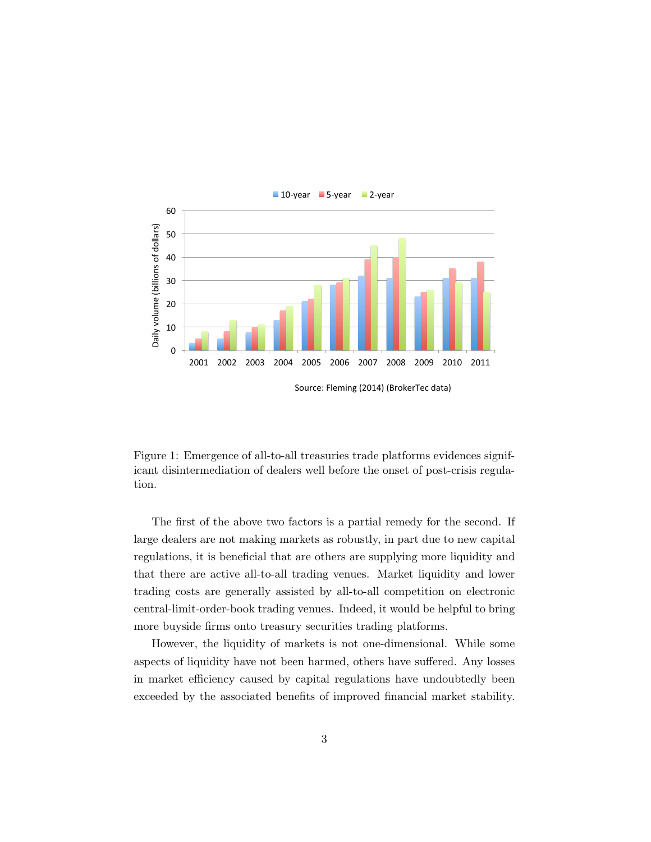

Source: Fleming (2014) (BrokerTec data)

Figure 1: Emergence of all-to-all treasuries trade platforms evidences significant disintermediation of dealers well before the onset of post-crisis regulation.

The first of the above two factors is a partial remedy for the second. If large dealers are not making markets as robustly, in part due to new capital regulations, it is beneficial that are others are supplying more liquidity and that there are active all-to-all trading venues. Market liquidity and lower trading costs are generally assisted by all-to-all competition on electronic central-limit-order-book trading venues. Indeed, it would be helpful to bring more buyside firms onto treasury securities trading platforms.

However, the liquidity of markets is not one-dimensional. While some aspects of liquidity have not been harmed, others have suffered. Any losses in market efficiency caused by capital regulations have undoubtedly been exceeded by the associated benefits of improved financial market stability.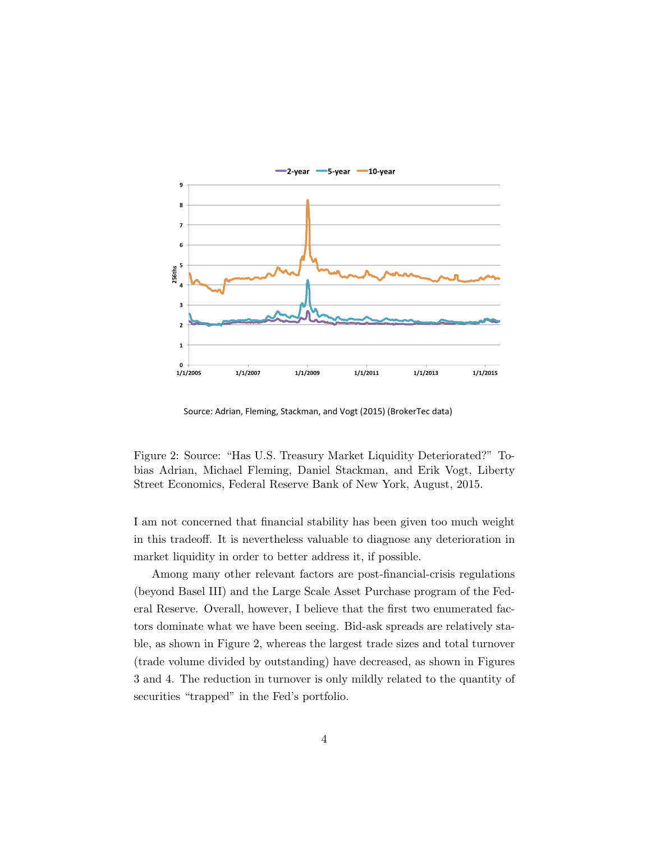

Source: Adrian, Fleming, Stackman, and Vogt (2015) (BrokerTec data)

Figure 2: Source: "Has U.S. Treasury Market Liquidity Deteriorated?" Tobias Adrian, Michael Fleming, Daniel Stackman, and Erik Vogt, Liberty Street Economics, Federal Reserve Bank of New York, August, 2015.

I am not concerned that financial stability has been given too much weight in this tradeoff. It is nevertheless valuable to diagnose any deterioration in market liquidity in order to better address it, if possible.

Among many other relevant factors are post-financial-crisis regulations (beyond Basel III) and the Large Scale Asset Purchase program of the Federal Reserve. Overall, however, I believe that the first two enumerated factors dominate what we have been seeing. Bid-ask spreads are relatively stable, as shown in Figure 2, whereas the largest trade sizes and total turnover (trade volume divided by outstanding) have decreased, as shown in Figures 3 and 4. The reduction in turnover is only mildly related to the quantity of securities "trapped" in the Fed's portfolio.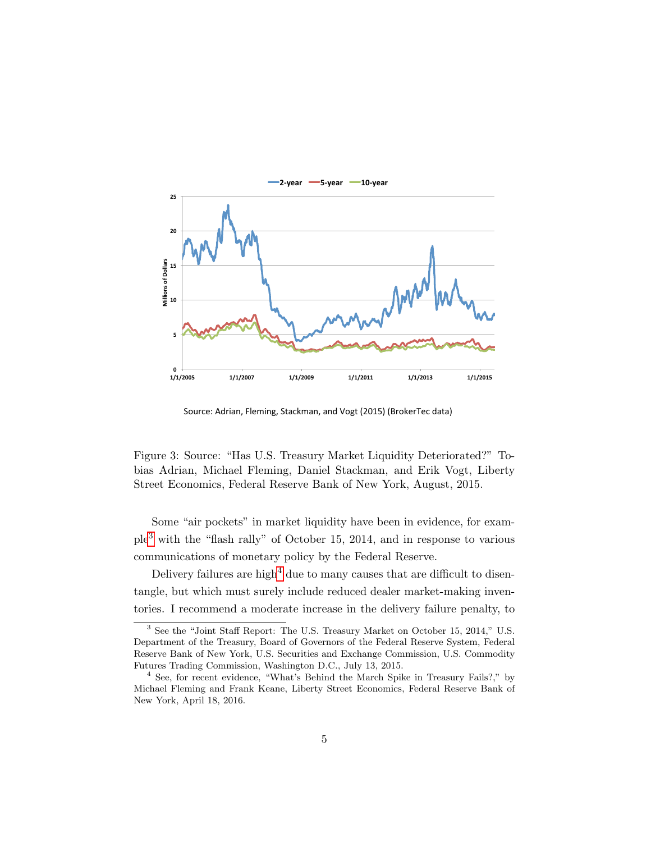

Source: Adrian, Fleming, Stackman, and Vogt (2015) (BrokerTec data)

Figure 3: Source: "Has U.S. Treasury Market Liquidity Deteriorated?" Tobias Adrian, Michael Fleming, Daniel Stackman, and Erik Vogt, Liberty Street Economics, Federal Reserve Bank of New York, August, 2015.

Some "air pockets" in market liquidity have been in evidence, for example[3](#page-4-0) with the "flash rally" of October 15, 2014, and in response to various communications of monetary policy by the Federal Reserve.

Delivery failures are high<sup>[4](#page-4-1)</sup> due to many causes that are difficult to disentangle, but which must surely include reduced dealer market-making inventories. I recommend a moderate increase in the delivery failure penalty, to

<span id="page-4-0"></span><sup>3</sup> See the "Joint Staff Report: The U.S. Treasury Market on October 15, 2014," U.S. Department of the Treasury, Board of Governors of the Federal Reserve System, Federal Reserve Bank of New York, U.S. Securities and Exchange Commission, U.S. Commodity Futures Trading Commission, Washington D.C., July 13, 2015.

<span id="page-4-1"></span><sup>&</sup>lt;sup>4</sup> See, for recent evidence, "What's Behind the March Spike in Treasury Fails?," by Michael Fleming and Frank Keane, Liberty Street Economics, Federal Reserve Bank of New York, April 18, 2016.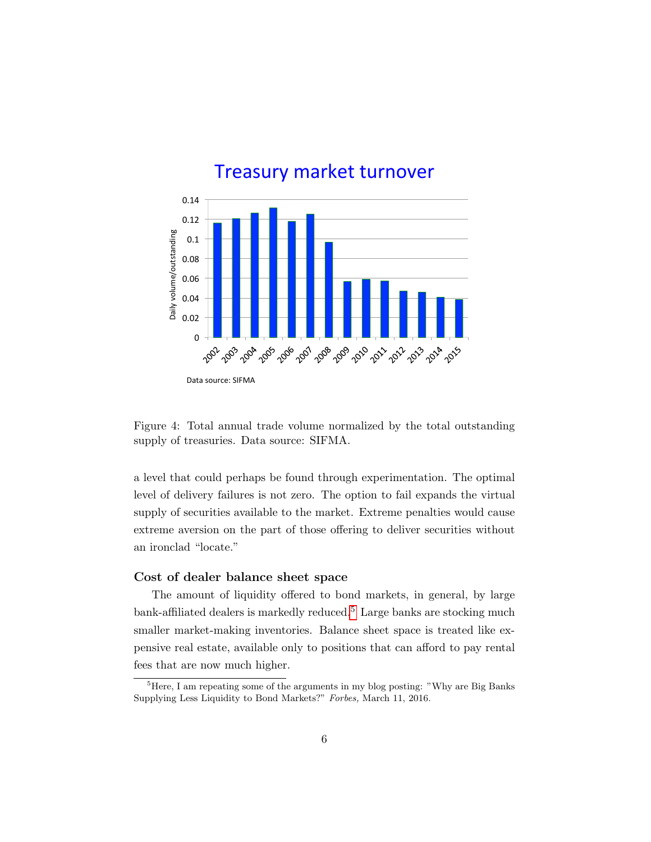

Figure 4: Total annual trade volume normalized by the total outstanding supply of treasuries. Data source: SIFMA.

a level that could perhaps be found through experimentation. The optimal level of delivery failures is not zero. The option to fail expands the virtual supply of securities available to the market. Extreme penalties would cause extreme aversion on the part of those offering to deliver securities without an ironclad "locate."

## Cost of dealer balance sheet space

The amount of liquidity offered to bond markets, in general, by large bank-affiliated dealers is markedly reduced.<sup>[5](#page-5-0)</sup> Large banks are stocking much smaller market-making inventories. Balance sheet space is treated like expensive real estate, available only to positions that can afford to pay rental fees that are now much higher.

<span id="page-5-0"></span><sup>&</sup>lt;sup>5</sup>Here, I am repeating some of the arguments in my blog posting: "Why are Big Banks" Supplying Less Liquidity to Bond Markets?" Forbes, March 11, 2016.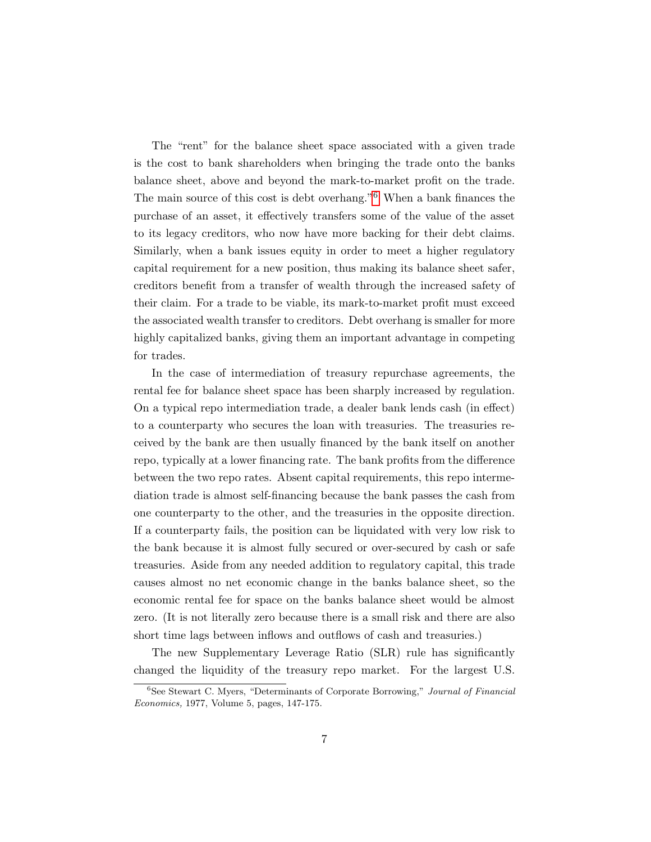The "rent" for the balance sheet space associated with a given trade is the cost to bank shareholders when bringing the trade onto the banks balance sheet, above and beyond the mark-to-market profit on the trade. The main source of this cost is debt overhang."[6](#page-6-0) When a bank finances the purchase of an asset, it effectively transfers some of the value of the asset to its legacy creditors, who now have more backing for their debt claims. Similarly, when a bank issues equity in order to meet a higher regulatory capital requirement for a new position, thus making its balance sheet safer, creditors benefit from a transfer of wealth through the increased safety of their claim. For a trade to be viable, its mark-to-market profit must exceed the associated wealth transfer to creditors. Debt overhang is smaller for more highly capitalized banks, giving them an important advantage in competing for trades.

In the case of intermediation of treasury repurchase agreements, the rental fee for balance sheet space has been sharply increased by regulation. On a typical repo intermediation trade, a dealer bank lends cash (in effect) to a counterparty who secures the loan with treasuries. The treasuries received by the bank are then usually financed by the bank itself on another repo, typically at a lower financing rate. The bank profits from the difference between the two repo rates. Absent capital requirements, this repo intermediation trade is almost self-financing because the bank passes the cash from one counterparty to the other, and the treasuries in the opposite direction. If a counterparty fails, the position can be liquidated with very low risk to the bank because it is almost fully secured or over-secured by cash or safe treasuries. Aside from any needed addition to regulatory capital, this trade causes almost no net economic change in the banks balance sheet, so the economic rental fee for space on the banks balance sheet would be almost zero. (It is not literally zero because there is a small risk and there are also short time lags between inflows and outflows of cash and treasuries.)

The new Supplementary Leverage Ratio (SLR) rule has significantly changed the liquidity of the treasury repo market. For the largest U.S.

<span id="page-6-0"></span> ${}^{6}$ See Stewart C. Myers, "Determinants of Corporate Borrowing," *Journal of Financial* Economics, 1977, Volume 5, pages, 147-175.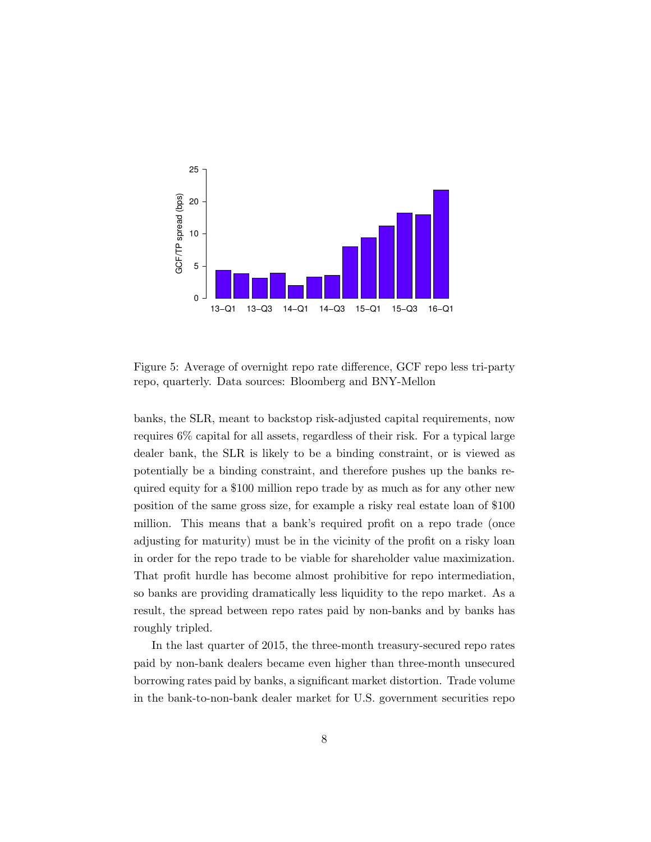

Figure 5: Average of overnight repo rate difference, GCF repo less tri-party repo, quarterly. Data sources: Bloomberg and BNY-Mellon

banks, the SLR, meant to backstop risk-adjusted capital requirements, now requires 6% capital for all assets, regardless of their risk. For a typical large dealer bank, the SLR is likely to be a binding constraint, or is viewed as potentially be a binding constraint, and therefore pushes up the banks required equity for a \$100 million repo trade by as much as for any other new position of the same gross size, for example a risky real estate loan of \$100 million. This means that a bank's required profit on a repo trade (once adjusting for maturity) must be in the vicinity of the profit on a risky loan in order for the repo trade to be viable for shareholder value maximization. That profit hurdle has become almost prohibitive for repo intermediation, so banks are providing dramatically less liquidity to the repo market. As a result, the spread between repo rates paid by non-banks and by banks has roughly tripled.

In the last quarter of 2015, the three-month treasury-secured repo rates paid by non-bank dealers became even higher than three-month unsecured borrowing rates paid by banks, a significant market distortion. Trade volume in the bank-to-non-bank dealer market for U.S. government securities repo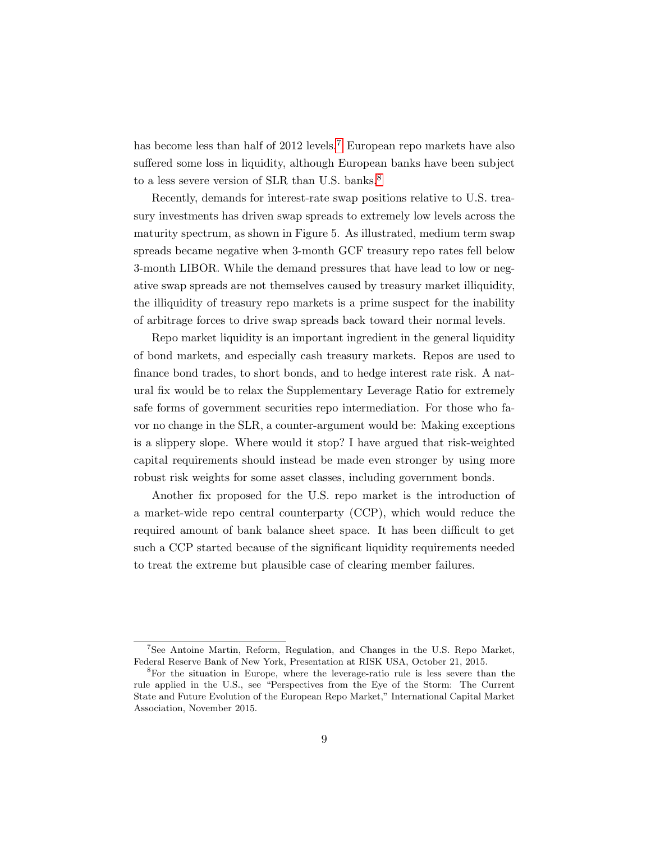has become less than half of 2012 levels.<sup>[7](#page-8-0)</sup> European repo markets have also suffered some loss in liquidity, although European banks have been subject to a less severe version of SLR than U.S. banks.<sup>[8](#page-8-1)</sup>

Recently, demands for interest-rate swap positions relative to U.S. treasury investments has driven swap spreads to extremely low levels across the maturity spectrum, as shown in Figure 5. As illustrated, medium term swap spreads became negative when 3-month GCF treasury repo rates fell below 3-month LIBOR. While the demand pressures that have lead to low or negative swap spreads are not themselves caused by treasury market illiquidity, the illiquidity of treasury repo markets is a prime suspect for the inability of arbitrage forces to drive swap spreads back toward their normal levels.

Repo market liquidity is an important ingredient in the general liquidity of bond markets, and especially cash treasury markets. Repos are used to finance bond trades, to short bonds, and to hedge interest rate risk. A natural fix would be to relax the Supplementary Leverage Ratio for extremely safe forms of government securities repo intermediation. For those who favor no change in the SLR, a counter-argument would be: Making exceptions is a slippery slope. Where would it stop? I have argued that risk-weighted capital requirements should instead be made even stronger by using more robust risk weights for some asset classes, including government bonds.

Another fix proposed for the U.S. repo market is the introduction of a market-wide repo central counterparty (CCP), which would reduce the required amount of bank balance sheet space. It has been difficult to get such a CCP started because of the significant liquidity requirements needed to treat the extreme but plausible case of clearing member failures.

<span id="page-8-0"></span><sup>7</sup>See Antoine Martin, Reform, Regulation, and Changes in the U.S. Repo Market, Federal Reserve Bank of New York, Presentation at RISK USA, October 21, 2015.

<span id="page-8-1"></span><sup>8</sup>For the situation in Europe, where the leverage-ratio rule is less severe than the rule applied in the U.S., see "Perspectives from the Eye of the Storm: The Current State and Future Evolution of the European Repo Market," International Capital Market Association, November 2015.